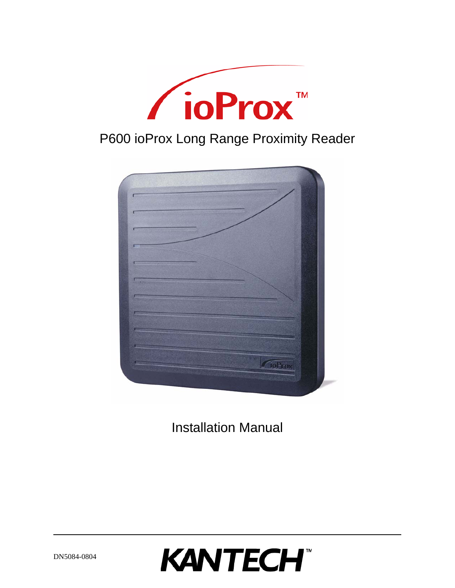



Installation Manual

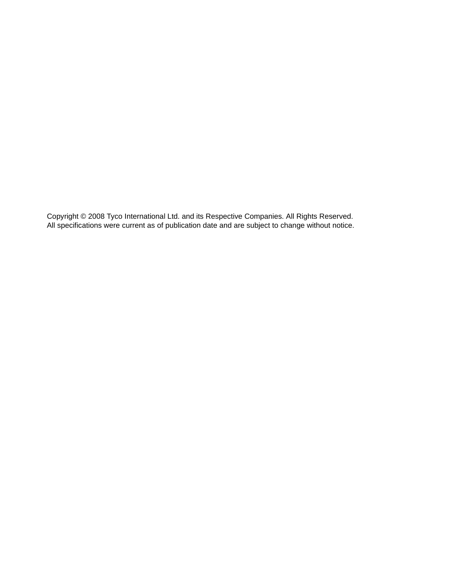Copyright © 2008 Tyco International Ltd. and its Respective Companies. All Rights Reserved. All specifications were current as of publication date and are subject to change without notice.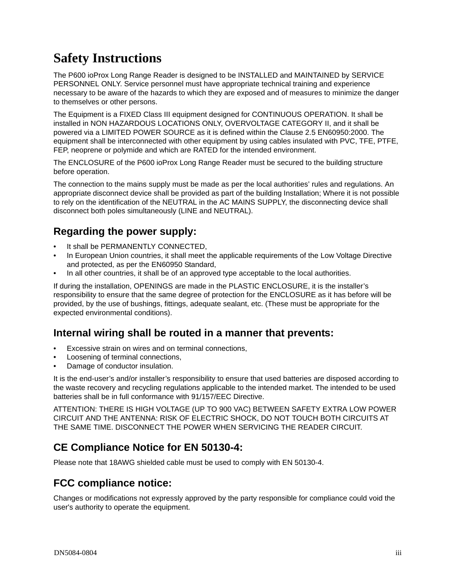# **Safety Instructions**

The P600 ioProx Long Range Reader is designed to be INSTALLED and MAINTAINED by SERVICE PERSONNEL ONLY. Service personnel must have appropriate technical training and experience necessary to be aware of the hazards to which they are exposed and of measures to minimize the danger to themselves or other persons.

The Equipment is a FIXED Class III equipment designed for CONTINUOUS OPERATION. It shall be installed in NON HAZARDOUS LOCATIONS ONLY, OVERVOLTAGE CATEGORY II, and it shall be powered via a LIMITED POWER SOURCE as it is defined within the Clause 2.5 EN60950:2000. The equipment shall be interconnected with other equipment by using cables insulated with PVC, TFE, PTFE, FEP, neoprene or polymide and which are RATED for the intended environment.

The ENCLOSURE of the P600 ioProx Long Range Reader must be secured to the building structure before operation.

The connection to the mains supply must be made as per the local authorities' rules and regulations. An appropriate disconnect device shall be provided as part of the building Installation; Where it is not possible to rely on the identification of the NEUTRAL in the AC MAINS SUPPLY, the disconnecting device shall disconnect both poles simultaneously (LINE and NEUTRAL).

### **Regarding the power supply:**

- It shall be PERMANENTLY CONNECTED,
- In European Union countries, it shall meet the applicable requirements of the Low Voltage Directive and protected, as per the EN60950 Standard,
- In all other countries, it shall be of an approved type acceptable to the local authorities.

If during the installation, OPENINGS are made in the PLASTIC ENCLOSURE, it is the installer's responsibility to ensure that the same degree of protection for the ENCLOSURE as it has before will be provided, by the use of bushings, fittings, adequate sealant, etc. (These must be appropriate for the expected environmental conditions).

#### **Internal wiring shall be routed in a manner that prevents:**

- Excessive strain on wires and on terminal connections.
- Loosening of terminal connections,
- Damage of conductor insulation.

It is the end-user's and/or installer's responsibility to ensure that used batteries are disposed according to the waste recovery and recycling regulations applicable to the intended market. The intended to be used batteries shall be in full conformance with 91/157/EEC Directive.

ATTENTION: THERE IS HIGH VOLTAGE (UP TO 900 VAC) BETWEEN SAFETY EXTRA LOW POWER CIRCUIT AND THE ANTENNA: RISK OF ELECTRIC SHOCK, DO NOT TOUCH BOTH CIRCUITS AT THE SAME TIME. DISCONNECT THE POWER WHEN SERVICING THE READER CIRCUIT.

### **CE Compliance Notice for EN 50130-4:**

Please note that 18AWG shielded cable must be used to comply with EN 50130-4.

### **FCC compliance notice:**

Changes or modifications not expressly approved by the party responsible for compliance could void the user's authority to operate the equipment.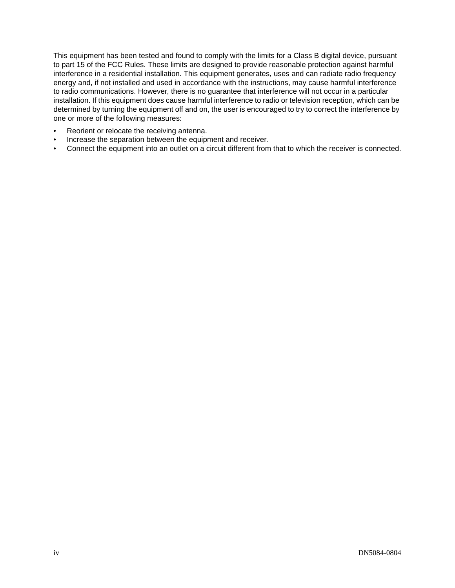This equipment has been tested and found to comply with the limits for a Class B digital device, pursuant to part 15 of the FCC Rules. These limits are designed to provide reasonable protection against harmful interference in a residential installation. This equipment generates, uses and can radiate radio frequency energy and, if not installed and used in accordance with the instructions, may cause harmful interference to radio communications. However, there is no guarantee that interference will not occur in a particular installation. If this equipment does cause harmful interference to radio or television reception, which can be determined by turning the equipment off and on, the user is encouraged to try to correct the interference by one or more of the following measures:

- Reorient or relocate the receiving antenna.
- Increase the separation between the equipment and receiver.
- Connect the equipment into an outlet on a circuit different from that to which the receiver is connected.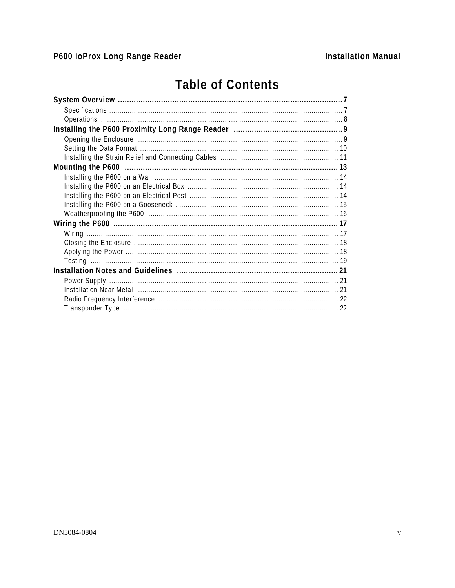# **Table of Contents**

| Opening the Enclosure manufacture and the Contract of Pennis and Pennis and Pennis and Pennis and Pennis and P |  |
|----------------------------------------------------------------------------------------------------------------|--|
|                                                                                                                |  |
|                                                                                                                |  |
|                                                                                                                |  |
|                                                                                                                |  |
|                                                                                                                |  |
|                                                                                                                |  |
|                                                                                                                |  |
|                                                                                                                |  |
|                                                                                                                |  |
|                                                                                                                |  |
|                                                                                                                |  |
|                                                                                                                |  |
|                                                                                                                |  |
|                                                                                                                |  |
|                                                                                                                |  |
|                                                                                                                |  |
|                                                                                                                |  |
|                                                                                                                |  |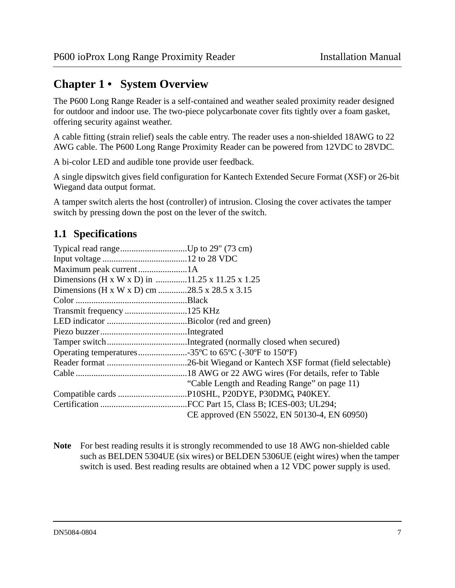## <span id="page-6-0"></span>**Chapter 1 • System Overview**

The P600 Long Range Reader is a self-contained and weather sealed proximity reader designed for outdoor and indoor use. The two-piece polycarbonate cover fits tightly over a foam gasket, offering security against weather.

A cable fitting (strain relief) seals the cable entry. The reader uses a non-shielded 18AWG to 22 AWG cable. The P600 Long Range Proximity Reader can be powered from 12VDC to 28VDC.

A bi-color LED and audible tone provide user feedback.

A single dipswitch gives field configuration for Kantech Extended Secure Format (XSF) or 26-bit Wiegand data output format.

A tamper switch alerts the host (controller) of intrusion. Closing the cover activates the tamper switch by pressing down the post on the lever of the switch.

### <span id="page-6-1"></span>**1.1 Specifications**

| Dimensions (H x W x D) in 11.25 x 11.25 x 1.25                |                                              |
|---------------------------------------------------------------|----------------------------------------------|
| Dimensions (H x W x D) cm 28.5 x 28.5 x 3.15                  |                                              |
|                                                               |                                              |
|                                                               |                                              |
|                                                               |                                              |
|                                                               |                                              |
|                                                               |                                              |
| Operating temperatures35°C to $65^{\circ}$ C (-30°F to 150°F) |                                              |
|                                                               |                                              |
|                                                               |                                              |
|                                                               | "Cable Length and Reading Range" on page 11) |
|                                                               |                                              |
|                                                               |                                              |
|                                                               | CE approved (EN 55022, EN 50130-4, EN 60950) |

**Note** For best reading results it is strongly recommended to use 18 AWG non-shielded cable such as BELDEN 5304UE (six wires) or BELDEN 5306UE (eight wires) when the tamper switch is used. Best reading results are obtained when a 12 VDC power supply is used.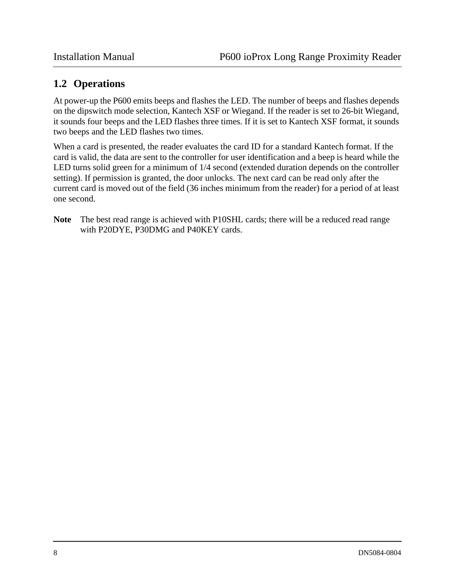#### <span id="page-7-0"></span>**1.2 Operations**

At power-up the P600 emits beeps and flashes the LED. The number of beeps and flashes depends on the dipswitch mode selection, Kantech XSF or Wiegand. If the reader is set to 26-bit Wiegand, it sounds four beeps and the LED flashes three times. If it is set to Kantech XSF format, it sounds two beeps and the LED flashes two times.

When a card is presented, the reader evaluates the card ID for a standard Kantech format. If the card is valid, the data are sent to the controller for user identification and a beep is heard while the LED turns solid green for a minimum of 1/4 second (extended duration depends on the controller setting). If permission is granted, the door unlocks. The next card can be read only after the current card is moved out of the field (36 inches minimum from the reader) for a period of at least one second.

**Note** The best read range is achieved with P10SHL cards; there will be a reduced read range with P20DYE, P30DMG and P40KEY cards.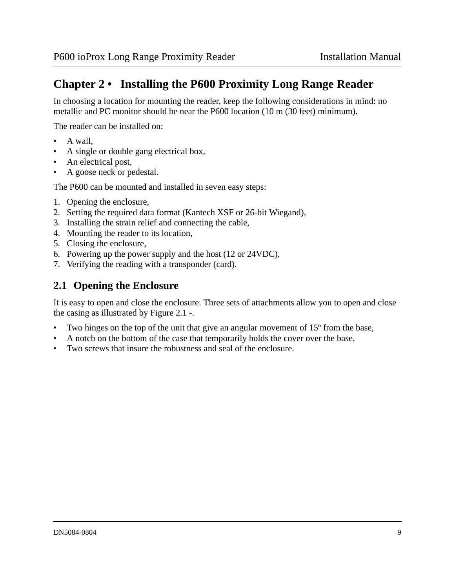# <span id="page-8-0"></span>**Chapter 2 • Installing the P600 Proximity Long Range Reader**

In choosing a location for mounting the reader, keep the following considerations in mind: no metallic and PC monitor should be near the P600 location (10 m (30 feet) minimum).

The reader can be installed on:

- A wall,
- A single or double gang electrical box,
- An electrical post,
- A goose neck or pedestal.

The P600 can be mounted and installed in seven easy steps:

- 1. Opening the enclosure,
- 2. Setting the required data format (Kantech XSF or 26-bit Wiegand),
- 3. Installing the strain relief and connecting the cable,
- 4. Mounting the reader to its location,
- 5. Closing the enclosure,
- 6. Powering up the power supply and the host (12 or 24VDC),
- 7. Verifying the reading with a transponder (card).

### <span id="page-8-1"></span>**2.1 Opening the Enclosure**

It is easy to open and close the enclosure. Three sets of attachments allow you to open and close the casing as illustrated by [Figure 2.1 -.](#page-9-1)

- Two hinges on the top of the unit that give an angular movement of 15<sup>°</sup> from the base,
- A notch on the bottom of the case that temporarily holds the cover over the base,
- Two screws that insure the robustness and seal of the enclosure.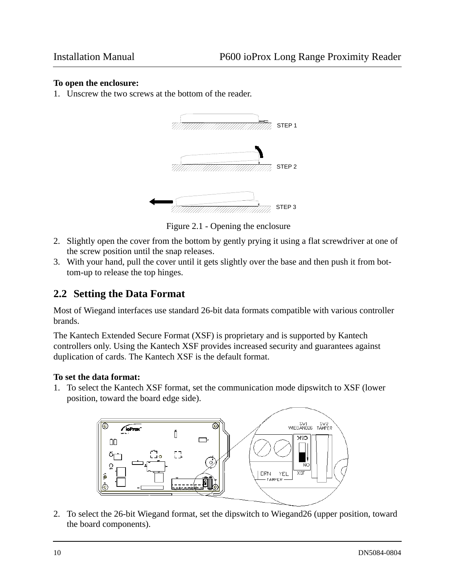#### **To open the enclosure:**

1. Unscrew the two screws at the bottom of the reader.



Figure 2.1 - Opening the enclosure

- <span id="page-9-1"></span>2. Slightly open the cover from the bottom by gently prying it using a flat screwdriver at one of the screw position until the snap releases.
- 3. With your hand, pull the cover until it gets slightly over the base and then push it from bottom-up to release the top hinges.

#### <span id="page-9-0"></span>**2.2 Setting the Data Format**

Most of Wiegand interfaces use standard 26-bit data formats compatible with various controller brands.

The Kantech Extended Secure Format (XSF) is proprietary and is supported by Kantech controllers only. Using the Kantech XSF provides increased security and guarantees against duplication of cards. The Kantech XSF is the default format.

#### **To set the data format:**

1. To select the Kantech XSF format, set the communication mode dipswitch to XSF (lower position, toward the board edge side).



2. To select the 26-bit Wiegand format, set the dipswitch to Wiegand26 (upper position, toward the board components).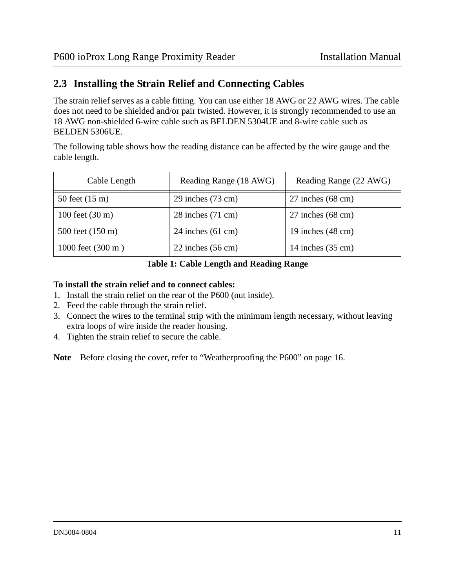#### <span id="page-10-0"></span>**2.3 Installing the Strain Relief and Connecting Cables**

The strain relief serves as a cable fitting. You can use either 18 AWG or 22 AWG wires. The cable does not need to be shielded and/or pair twisted. However, it is strongly recommended to use an 18 AWG non-shielded 6-wire cable such as BELDEN 5304UE and 8-wire cable such as BELDEN 5306UE.

The following table shows how the reading distance can be affected by the wire gauge and the cable length.

| Cable Length                | Reading Range (18 AWG)        | Reading Range (22 AWG)        |
|-----------------------------|-------------------------------|-------------------------------|
| 50 feet $(15 \text{ m})$    | $29$ inches $(73 \text{ cm})$ | $27$ inches $(68 \text{ cm})$ |
| 100 feet $(30 \text{ m})$   | $28$ inches $(71$ cm)         | $27$ inches $(68 \text{ cm})$ |
| 500 feet (150 m)            | 24 inches $(61 \text{ cm})$   | 19 inches $(48 \text{ cm})$   |
| 1000 feet $(300 \text{ m})$ | $22$ inches $(56 \text{ cm})$ | 14 inches $(35 \text{ cm})$   |

#### <span id="page-10-1"></span>**Table 1: Cable Length and Reading Range**

#### **To install the strain relief and to connect cables:**

- 1. Install the strain relief on the rear of the P600 (nut inside).
- 2. Feed the cable through the strain relief.
- 3. Connect the wires to the terminal strip with the minimum length necessary, without leaving extra loops of wire inside the reader housing.
- 4. Tighten the strain relief to secure the cable.

**Note** Before closing the cover, [refer to "Weatherproofing the P600" on page 16.](#page-15-1)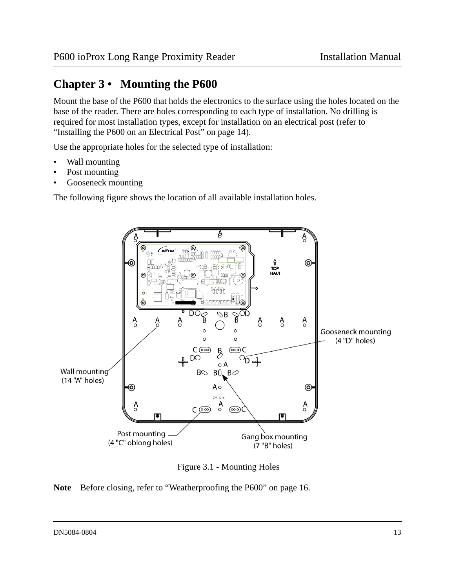# <span id="page-12-0"></span>**Chapter 3 • Mounting the P600**

Mount the base of the P600 that holds the electronics to the surface using the holes located on the base of the reader. There are holes corresponding to each type of installation. No drilling is required for most installation types, except for installation on an electrical post ([refer to](#page-13-2)  ["Installing the P600 on an Electrical Post" on page 14\)](#page-13-2).

Use the appropriate holes for the selected type of installation:

- Wall mounting
- Post mounting
- Gooseneck mounting

The following figure shows the location of all available installation holes.



Figure 3.1 - Mounting Holes

<span id="page-12-1"></span>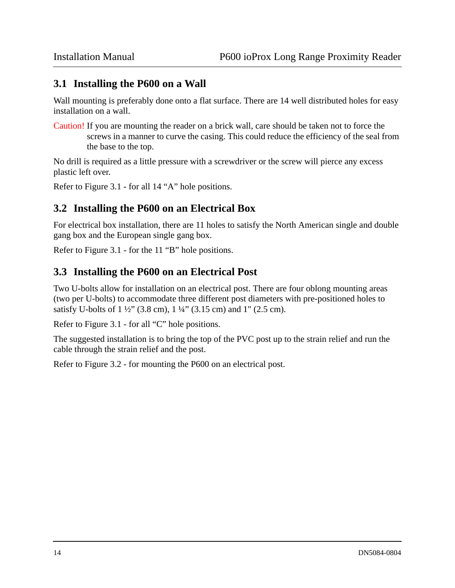#### <span id="page-13-0"></span>**3.1 Installing the P600 on a Wall**

Wall mounting is preferably done onto a flat surface. There are 14 well distributed holes for easy installation on a wall.

Caution! If you are mounting the reader on a brick wall, care should be taken not to force the screws in a manner to curve the casing. This could reduce the efficiency of the seal from the base to the top.

No drill is required as a little pressure with a screwdriver or the screw will pierce any excess plastic left over.

Refer to [Figure 3.1 -](#page-12-1) for all 14 "A" hole positions.

#### <span id="page-13-1"></span>**3.2 Installing the P600 on an Electrical Box**

For electrical box installation, there are 11 holes to satisfy the North American single and double gang box and the European single gang box.

Refer to [Figure 3.1 -](#page-12-1) for the 11 "B" hole positions.

#### <span id="page-13-2"></span>**3.3 Installing the P600 on an Electrical Post**

Two U-bolts allow for installation on an electrical post. There are four oblong mounting areas (two per U-bolts) to accommodate three different post diameters with pre-positioned holes to satisfy U-bolts of 1 ½" (3.8 cm), 1 ¼" (3.15 cm) and 1" (2.5 cm).

Refer to [Figure 3.1 -](#page-12-1) for all "C" hole positions.

The suggested installation is to bring the top of the PVC post up to the strain relief and run the cable through the strain relief and the post.

Refer to [Figure 3.2 -](#page-14-1) for mounting the P600 on an electrical post.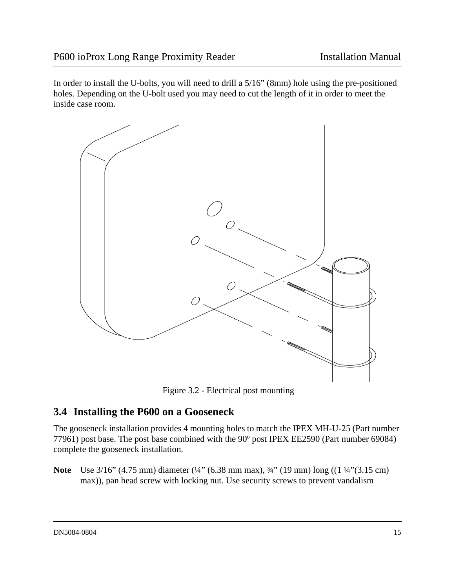In order to install the U-bolts, you will need to drill a 5/16" (8mm) hole using the pre-positioned holes. Depending on the U-bolt used you may need to cut the length of it in order to meet the inside case room.



Figure 3.2 - Electrical post mounting

### <span id="page-14-1"></span><span id="page-14-0"></span>**3.4 Installing the P600 on a Gooseneck**

The gooseneck installation provides 4 mounting holes to match the IPEX MH-U-25 (Part number 77961) post base. The post base combined with the 90º post IPEX EE2590 (Part number 69084) complete the gooseneck installation.

**Note** Use 3/16" (4.75 mm) diameter (¼" (6.38 mm max), ¾" (19 mm) long ((1 ¼"(3.15 cm) max)), pan head screw with locking nut. Use security screws to prevent vandalism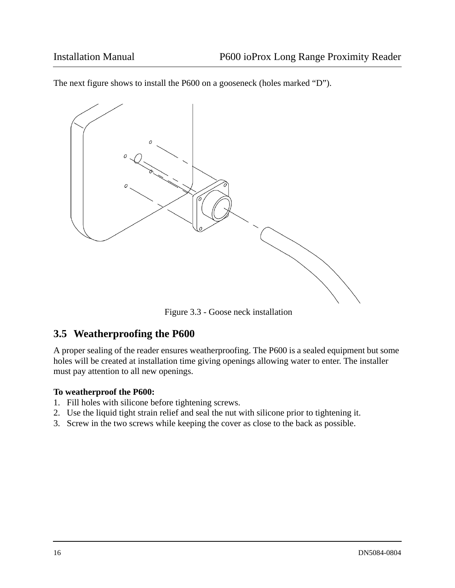The next figure shows to install the P600 on a gooseneck (holes marked "D").



Figure 3.3 - Goose neck installation

#### <span id="page-15-1"></span><span id="page-15-0"></span>**3.5 Weatherproofing the P600**

A proper sealing of the reader ensures weatherproofing. The P600 is a sealed equipment but some holes will be created at installation time giving openings allowing water to enter. The installer must pay attention to all new openings.

#### **To weatherproof the P600:**

- 1. Fill holes with silicone before tightening screws.
- 2. Use the liquid tight strain relief and seal the nut with silicone prior to tightening it.
- 3. Screw in the two screws while keeping the cover as close to the back as possible.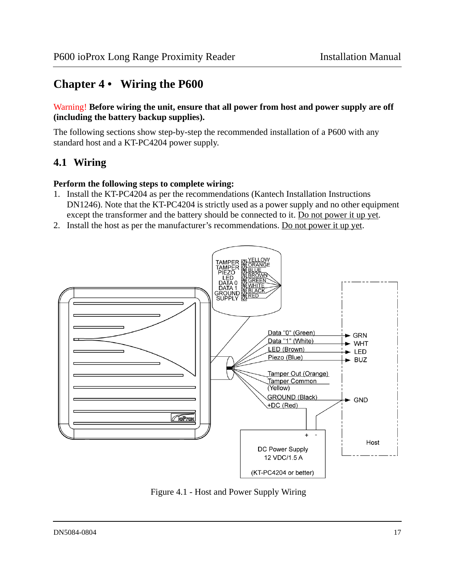# <span id="page-16-0"></span>**Chapter 4 • Wiring the P600**

#### Warning! **Before wiring the unit, ensure that all power from host and power supply are off (including the battery backup supplies).**

The following sections show step-by-step the recommended installation of a P600 with any standard host and a KT-PC4204 power supply.

### <span id="page-16-1"></span>**4.1 Wiring**

#### **Perform the following steps to complete wiring:**

- 1. Install the KT-PC4204 as per the recommendations (Kantech Installation Instructions DN1246). Note that the KT-PC4204 is strictly used as a power supply and no other equipment except the transformer and the battery should be connected to it. Do not power it up yet.
- 2. Install the host as per the manufacturer's recommendations. Do not power it up yet.



Figure 4.1 - Host and Power Supply Wiring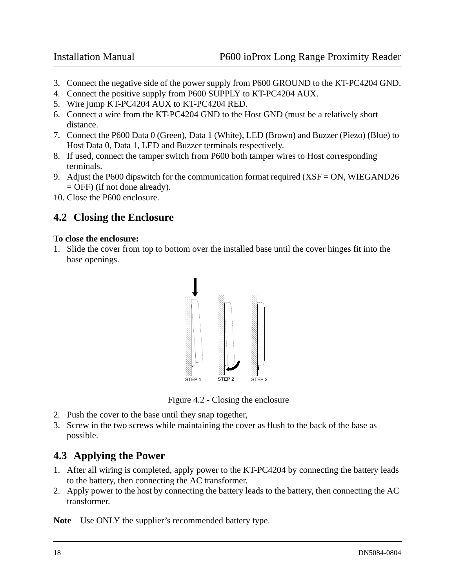- 3. Connect the negative side of the power supply from P600 GROUND to the KT-PC4204 GND.
- 4. Connect the positive supply from P600 SUPPLY to KT-PC4204 AUX.
- 5. Wire jump KT-PC4204 AUX to KT-PC4204 RED.
- 6. Connect a wire from the KT-PC4204 GND to the Host GND (must be a relatively short distance.
- 7. Connect the P600 Data 0 (Green), Data 1 (White), LED (Brown) and Buzzer (Piezo) (Blue) to Host Data 0, Data 1, LED and Buzzer terminals respectively.
- 8. If used, connect the tamper switch from P600 both tamper wires to Host corresponding terminals.
- 9. Adjust the P600 dipswitch for the communication format required (XSF = ON, WIEGAND26 = OFF) (if not done already).
- 10. Close the P600 enclosure.

#### <span id="page-17-0"></span>**4.2 Closing the Enclosure**

#### **To close the enclosure:**

1. Slide the cover from top to bottom over the installed base until the cover hinges fit into the base openings.



Figure 4.2 - Closing the enclosure

- 2. Push the cover to the base until they snap together,
- 3. Screw in the two screws while maintaining the cover as flush to the back of the base as possible.

### <span id="page-17-1"></span>**4.3 Applying the Power**

- 1. After all wiring is completed, apply power to the KT-PC4204 by connecting the battery leads to the battery, then connecting the AC transformer.
- 2. Apply power to the host by connecting the battery leads to the battery, then connecting the AC transformer.

**Note** Use ONLY the supplier's recommended battery type.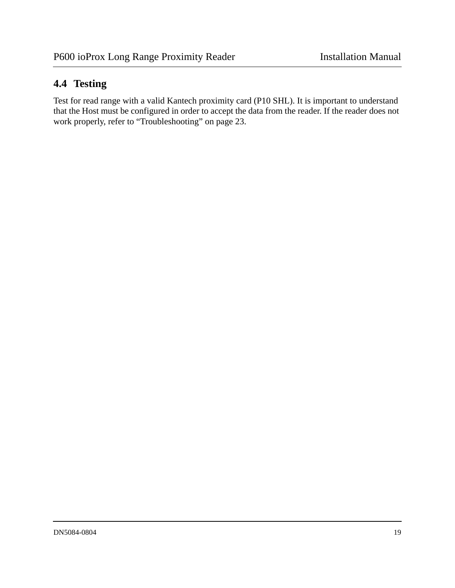# <span id="page-18-0"></span>**4.4 Testing**

Test for read range with a valid Kantech proximity card (P10 SHL). It is important to understand that the Host must be configured in order to accept the data from the reader. If the reader does not work properly, [refer to "Troubleshooting" on page 23.](#page-22-0)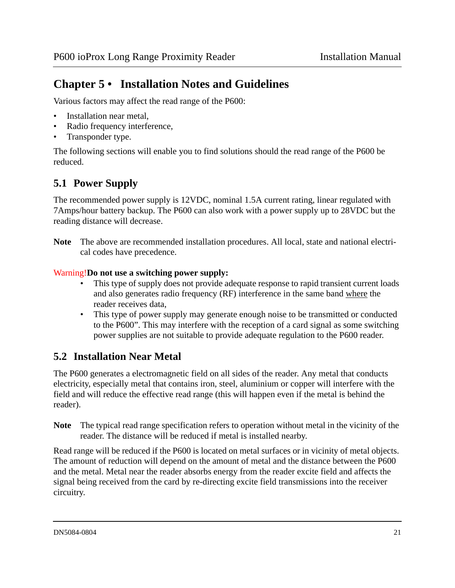# <span id="page-20-0"></span>**Chapter 5 • Installation Notes and Guidelines**

Various factors may affect the read range of the P600:

- Installation near metal,
- Radio frequency interference,
- Transponder type.

The following sections will enable you to find solutions should the read range of the P600 be reduced.

### <span id="page-20-1"></span>**5.1 Power Supply**

The recommended power supply is 12VDC, nominal 1.5A current rating, linear regulated with 7Amps/hour battery backup. The P600 can also work with a power supply up to 28VDC but the reading distance will decrease.

**Note** The above are recommended installation procedures. All local, state and national electrical codes have precedence.

#### Warning!**Do not use a switching power supply:**

- This type of supply does not provide adequate response to rapid transient current loads and also generates radio frequency (RF) interference in the same band where the reader receives data,
- This type of power supply may generate enough noise to be transmitted or conducted to the P600". This may interfere with the reception of a card signal as some switching power supplies are not suitable to provide adequate regulation to the P600 reader.

### <span id="page-20-2"></span>**5.2 Installation Near Metal**

The P600 generates a electromagnetic field on all sides of the reader. Any metal that conducts electricity, especially metal that contains iron, steel, aluminium or copper will interfere with the field and will reduce the effective read range (this will happen even if the metal is behind the reader).

**Note** The typical read range specification refers to operation without metal in the vicinity of the reader. The distance will be reduced if metal is installed nearby.

Read range will be reduced if the P600 is located on metal surfaces or in vicinity of metal objects. The amount of reduction will depend on the amount of metal and the distance between the P600 and the metal. Metal near the reader absorbs energy from the reader excite field and affects the signal being received from the card by re-directing excite field transmissions into the receiver circuitry.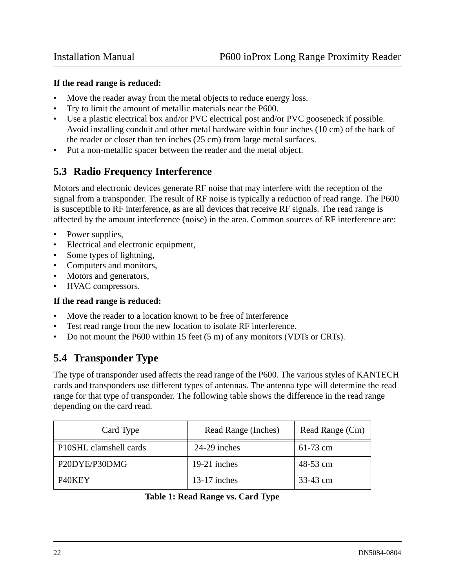#### **If the read range is reduced:**

- Move the reader away from the metal objects to reduce energy loss.
- Try to limit the amount of metallic materials near the P600.
- Use a plastic electrical box and/or PVC electrical post and/or PVC gooseneck if possible. Avoid installing conduit and other metal hardware within four inches (10 cm) of the back of the reader or closer than ten inches (25 cm) from large metal surfaces.
- Put a non-metallic spacer between the reader and the metal object.

### <span id="page-21-0"></span>**5.3 Radio Frequency Interference**

Motors and electronic devices generate RF noise that may interfere with the reception of the signal from a transponder. The result of RF noise is typically a reduction of read range. The P600 is susceptible to RF interference, as are all devices that receive RF signals. The read range is affected by the amount interference (noise) in the area. Common sources of RF interference are:

- Power supplies,
- Electrical and electronic equipment,
- Some types of lightning,
- Computers and monitors,
- Motors and generators,
- HVAC compressors.

#### **If the read range is reduced:**

- Move the reader to a location known to be free of interference
- Test read range from the new location to isolate RF interference.
- Do not mount the P600 within 15 feet (5 m) of any monitors (VDTs or CRTs).

### <span id="page-21-1"></span>**5.4 Transponder Type**

The type of transponder used affects the read range of the P600. The various styles of KANTECH cards and transponders use different types of antennas. The antenna type will determine the read range for that type of transponder. The following table shows the difference in the read range depending on the card read.

| Card Type              | Read Range (Inches) | Read Range (Cm) |
|------------------------|---------------------|-----------------|
| P10SHL clamshell cards | 24-29 inches        | $61-73$ cm      |
| P20DYE/P30DMG          | 19-21 inches        | 48-53 cm        |
| P <sub>40</sub> KEY    | $13-17$ inches      | 33-43 cm        |

**Table 1: Read Range vs. Card Type**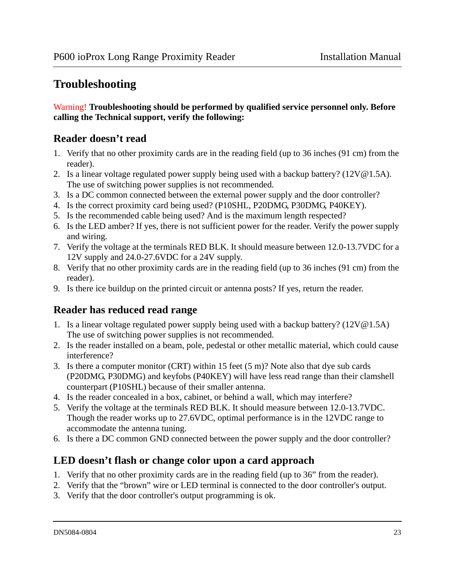# <span id="page-22-0"></span>**Troubleshooting**

#### Warning! **Troubleshooting should be performed by qualified service personnel only. Before calling the Technical support, verify the following:**

### **Reader doesn't read**

- 1. Verify that no other proximity cards are in the reading field (up to 36 inches (91 cm) from the reader).
- 2. Is a linear voltage regulated power supply being used with a backup battery? (12V@1.5A). The use of switching power supplies is not recommended.
- 3. Is a DC common connected between the external power supply and the door controller?
- 4. Is the correct proximity card being used? (P10SHL, P20DMG, P30DMG, P40KEY).
- 5. Is the recommended cable being used? And is the maximum length respected?
- 6. Is the LED amber? If yes, there is not sufficient power for the reader. Verify the power supply and wiring.
- 7. Verify the voltage at the terminals RED BLK. It should measure between 12.0-13.7VDC for a 12V supply and 24.0-27.6VDC for a 24V supply.
- 8. Verify that no other proximity cards are in the reading field (up to 36 inches (91 cm) from the reader).
- 9. Is there ice buildup on the printed circuit or antenna posts? If yes, return the reader.

### **Reader has reduced read range**

- 1. Is a linear voltage regulated power supply being used with a backup battery? (12V@1.5A) The use of switching power supplies is not recommended.
- 2. Is the reader installed on a beam, pole, pedestal or other metallic material, which could cause interference?
- 3. Is there a computer monitor (CRT) within 15 feet (5 m)? Note also that dye sub cards (P20DMG, P30DMG) and keyfobs (P40KEY) will have less read range than their clamshell counterpart (P10SHL) because of their smaller antenna.
- 4. Is the reader concealed in a box, cabinet, or behind a wall, which may interfere?
- 5. Verify the voltage at the terminals RED BLK. It should measure between 12.0-13.7VDC. Though the reader works up to 27.6VDC, optimal performance is in the 12VDC range to accommodate the antenna tuning.
- 6. Is there a DC common GND connected between the power supply and the door controller?

### **LED doesn't flash or change color upon a card approach**

- 1. Verify that no other proximity cards are in the reading field (up to 36" from the reader).
- 2. Verify that the "brown" wire or LED terminal is connected to the door controller's output.
- 3. Verify that the door controller's output programming is ok.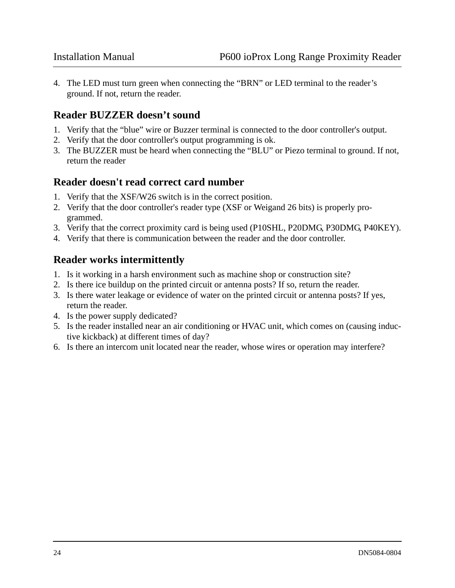4. The LED must turn green when connecting the "BRN" or LED terminal to the reader's ground. If not, return the reader.

#### **Reader BUZZER doesn't sound**

- 1. Verify that the "blue" wire or Buzzer terminal is connected to the door controller's output.
- 2. Verify that the door controller's output programming is ok.
- 3. The BUZZER must be heard when connecting the "BLU" or Piezo terminal to ground. If not, return the reader

#### **Reader doesn't read correct card number**

- 1. Verify that the XSF/W26 switch is in the correct position.
- 2. Verify that the door controller's reader type (XSF or Weigand 26 bits) is properly programmed.
- 3. Verify that the correct proximity card is being used (P10SHL, P20DMG, P30DMG, P40KEY).
- 4. Verify that there is communication between the reader and the door controller.

#### **Reader works intermittently**

- 1. Is it working in a harsh environment such as machine shop or construction site?
- 2. Is there ice buildup on the printed circuit or antenna posts? If so, return the reader.
- 3. Is there water leakage or evidence of water on the printed circuit or antenna posts? If yes, return the reader.
- 4. Is the power supply dedicated?
- 5. Is the reader installed near an air conditioning or HVAC unit, which comes on (causing inductive kickback) at different times of day?
- 6. Is there an intercom unit located near the reader, whose wires or operation may interfere?